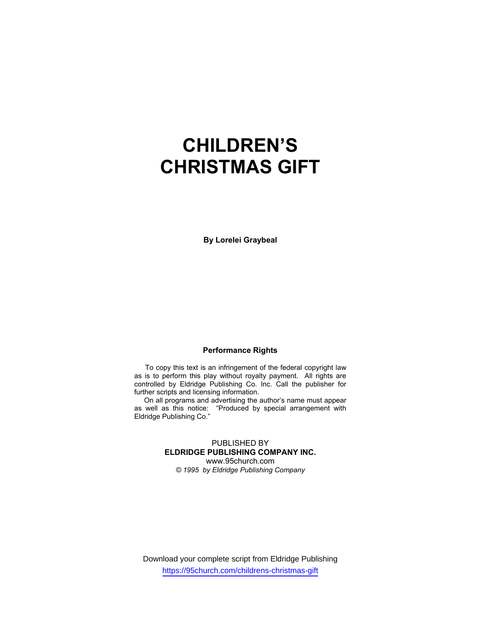# **CHILDREN'S CHRISTMAS GIFT**

**By Lorelei Graybeal**

### **Performance Rights**

 To copy this text is an infringement of the federal copyright law as is to perform this play without royalty payment. All rights are controlled by Eldridge Publishing Co. Inc. Call the publisher for further scripts and licensing information.

 On all programs and advertising the author's name must appear as well as this notice: "Produced by special arrangement with Eldridge Publishing Co."

#### PUBLISHED BY **ELDRIDGE PUBLISHING COMPANY INC.** www.95church.com

*© 1995 by Eldridge Publishing Company* 

Download your complete script from Eldridge Publishing https://95church.com/childrens-christmas-gift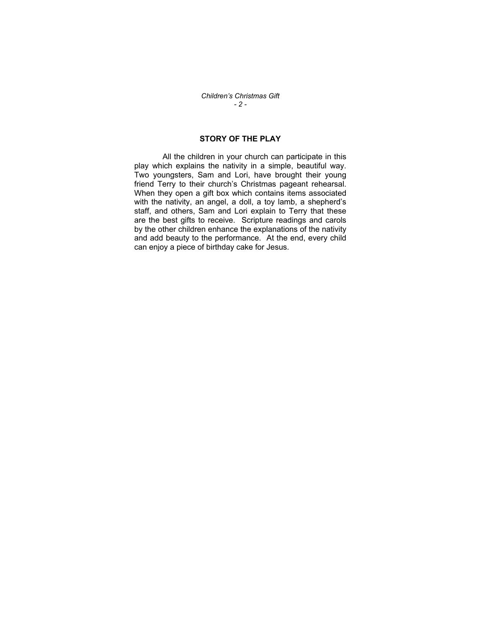*Children's Christmas Gift - 2 -* 

## **STORY OF THE PLAY**

 All the children in your church can participate in this play which explains the nativity in a simple, beautiful way. Two youngsters, Sam and Lori, have brought their young friend Terry to their church's Christmas pageant rehearsal. When they open a gift box which contains items associated with the nativity, an angel, a doll, a toy lamb, a shepherd's staff, and others, Sam and Lori explain to Terry that these are the best gifts to receive. Scripture readings and carols by the other children enhance the explanations of the nativity and add beauty to the performance. At the end, every child can enjoy a piece of birthday cake for Jesus.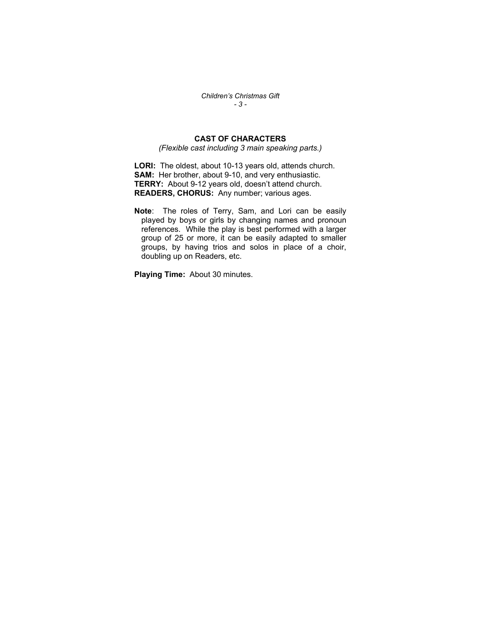*Children's Christmas Gift - 3 -* 

## **CAST OF CHARACTERS**

*(Flexible cast including 3 main speaking parts.)* 

**LORI:** The oldest, about 10-13 years old, attends church. **SAM:** Her brother, about 9-10, and very enthusiastic. **TERRY:** About 9-12 years old, doesn't attend church. **READERS, CHORUS:** Any number; various ages.

**Note**: The roles of Terry, Sam, and Lori can be easily played by boys or girls by changing names and pronoun references. While the play is best performed with a larger group of 25 or more, it can be easily adapted to smaller groups, by having trios and solos in place of a choir, doubling up on Readers, etc.

**Playing Time:** About 30 minutes.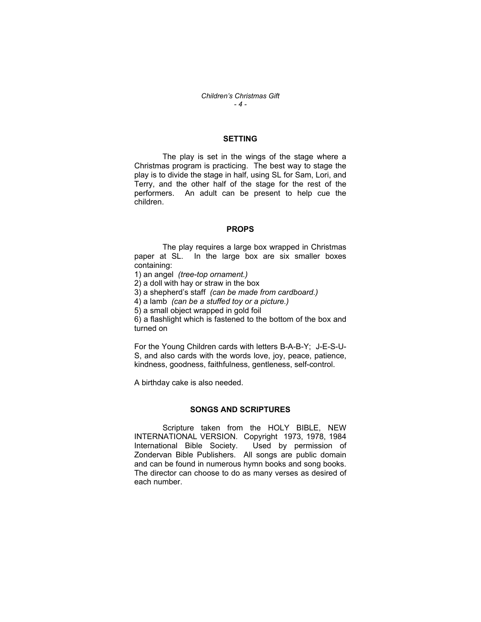#### **SETTING**

 The play is set in the wings of the stage where a Christmas program is practicing. The best way to stage the play is to divide the stage in half, using SL for Sam, Lori, and Terry, and the other half of the stage for the rest of the performers. An adult can be present to help cue the children.

#### **PROPS**

 The play requires a large box wrapped in Christmas paper at SL. In the large box are six smaller boxes containing:

1) an angel *(tree-top ornament.)* 

2) a doll with hay or straw in the box

3) a shepherd's staff *(can be made from cardboard.)*

4) a lamb *(can be a stuffed toy or a picture.)*

5) a small object wrapped in gold foil

6) a flashlight which is fastened to the bottom of the box and turned on

For the Young Children cards with letters B-A-B-Y; J-E-S-U-S, and also cards with the words love, joy, peace, patience, kindness, goodness, faithfulness, gentleness, self-control.

A birthday cake is also needed.

#### **SONGS AND SCRIPTURES**

 Scripture taken from the HOLY BIBLE, NEW INTERNATIONAL VERSION. Copyright 1973, 1978, 1984 International Bible Society. Used by permission of Zondervan Bible Publishers. All songs are public domain and can be found in numerous hymn books and song books. The director can choose to do as many verses as desired of each number.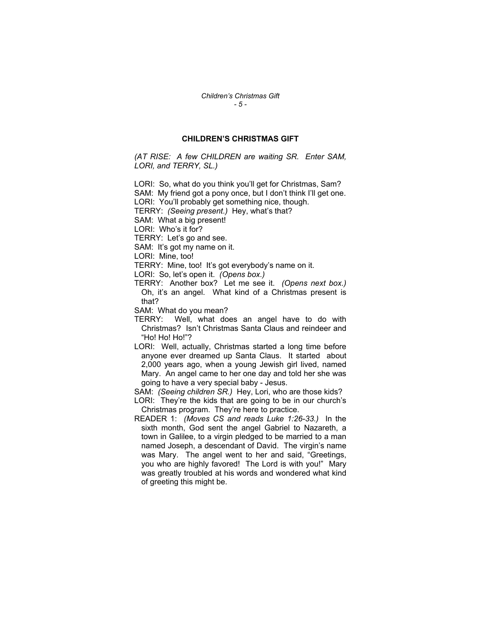#### **CHILDREN'S CHRISTMAS GIFT**

*(AT RISE: A few CHILDREN are waiting SR. Enter SAM, LORI, and TERRY, SL.)* 

LORI: So, what do you think you'll get for Christmas, Sam?

SAM: My friend got a pony once, but I don't think I'll get one.

LORI: You'll probably get something nice, though.

TERRY: *(Seeing present.)* Hey, what's that?

SAM: What a big present!

LORI: Who's it for?

TERRY: Let's go and see.

SAM: It's got my name on it.

LORI: Mine, too!

TERRY: Mine, too! It's got everybody's name on it.

LORI: So, let's open it. *(Opens box.)* 

TERRY: Another box? Let me see it. *(Opens next box.)* Oh, it's an angel. What kind of a Christmas present is that?

SAM: What do you mean?

- TERRY: Well, what does an angel have to do with Christmas? Isn't Christmas Santa Claus and reindeer and "Ho! Ho! Ho!"?
- LORI: Well, actually, Christmas started a long time before anyone ever dreamed up Santa Claus. It started about 2,000 years ago, when a young Jewish girl lived, named Mary. An angel came to her one day and told her she was going to have a very special baby - Jesus.

SAM: *(Seeing children SR.)* Hey, Lori, who are those kids?

LORI: They're the kids that are going to be in our church's Christmas program. They're here to practice.

READER 1: *(Moves CS and reads Luke 1:26-33.)* In the sixth month, God sent the angel Gabriel to Nazareth, a town in Galilee, to a virgin pledged to be married to a man named Joseph, a descendant of David. The virgin's name was Mary. The angel went to her and said, "Greetings, you who are highly favored! The Lord is with you!" Mary was greatly troubled at his words and wondered what kind of greeting this might be.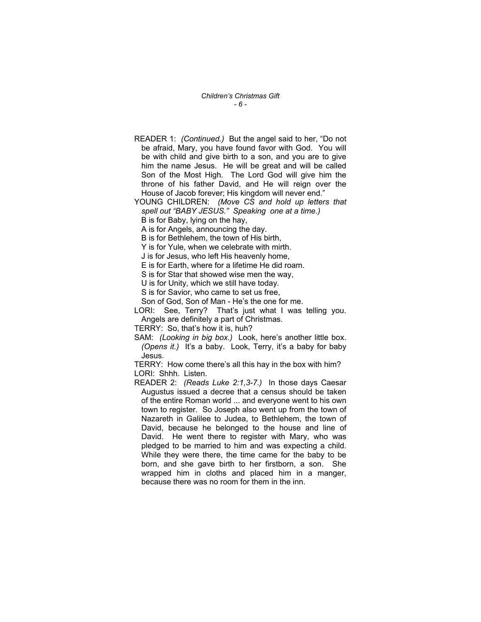*Children's Christmas Gift - 6 -* 

READER 1: *(Continued.)* But the angel said to her, "Do not be afraid, Mary, you have found favor with God. You will be with child and give birth to a son, and you are to give him the name Jesus. He will be great and will be called Son of the Most High. The Lord God will give him the throne of his father David, and He will reign over the House of Jacob forever; His kingdom will never end."

YOUNG CHILDREN: *(Move CS and hold up letters that spell out "BABY JESUS." Speaking one at a time.)* 

B is for Baby, lying on the hay,

A is for Angels, announcing the day.

B is for Bethlehem, the town of His birth,

Y is for Yule, when we celebrate with mirth.

J is for Jesus, who left His heavenly home,

E is for Earth, where for a lifetime He did roam.

S is for Star that showed wise men the way,

U is for Unity, which we still have today.

S is for Savior, who came to set us free,

Son of God, Son of Man - He's the one for me.

LORI: See, Terry? That's just what I was telling you. Angels are definitely a part of Christmas.

TERRY: So, that's how it is, huh?

SAM: *(Looking in big box.)* Look, here's another little box. *(Opens it.)* It's a baby. Look, Terry, it's a baby for baby Jesus.

TERRY: How come there's all this hay in the box with him? LORI: Shhh. Listen.

READER 2: *(Reads Luke 2:1,3-7.)* In those days Caesar Augustus issued a decree that a census should be taken of the entire Roman world ... and everyone went to his own town to register. So Joseph also went up from the town of Nazareth in Galilee to Judea, to Bethlehem, the town of David, because he belonged to the house and line of David. He went there to register with Mary, who was pledged to be married to him and was expecting a child. While they were there, the time came for the baby to be born, and she gave birth to her firstborn, a son. She wrapped him in cloths and placed him in a manger, because there was no room for them in the inn.